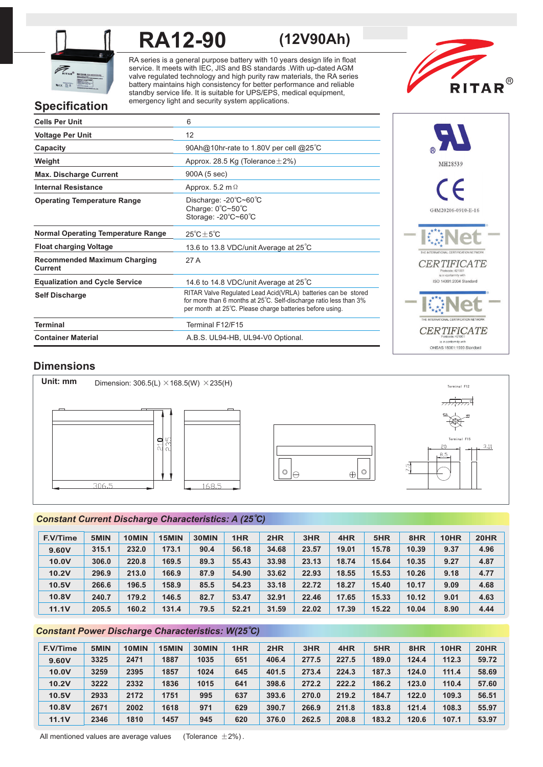

# **RA12-90 (12V90Ah)**

RA series is a general purpose battery with 10 years design life in float service. It meets with IEC, JIS and BS standards .With up-dated AGM valve regulated technology and high purity raw materials, the RA series battery maintains high consistency for better performance and reliable standby service life. It is suitable for UPS/EPS, medical equipment, emergency light and security system applications.



# **Specification**

| <b>Cells Per Unit</b>                          | 6                                                                                                                                                                                              |
|------------------------------------------------|------------------------------------------------------------------------------------------------------------------------------------------------------------------------------------------------|
| <b>Voltage Per Unit</b>                        | 12                                                                                                                                                                                             |
| Capacity                                       | 90Ah@10hr-rate to 1.80V per cell @25°C                                                                                                                                                         |
| Weight                                         | Approx. 28.5 Kg (Tolerance $\pm$ 2%)                                                                                                                                                           |
| <b>Max. Discharge Current</b>                  | 900A (5 sec)                                                                                                                                                                                   |
| <b>Internal Resistance</b>                     | Approx. 5.2 m $\Omega$                                                                                                                                                                         |
| <b>Operating Temperature Range</b>             | Discharge: $-20^{\circ}$ C $-60^{\circ}$ C<br>Charge: 0°C~50°C<br>Storage: -20°C~60°C                                                                                                          |
| <b>Normal Operating Temperature Range</b>      | $25^{\circ}$ C + 5 $^{\circ}$ C                                                                                                                                                                |
| <b>Float charging Voltage</b>                  | 13.6 to 13.8 VDC/unit Average at 25°C                                                                                                                                                          |
| <b>Recommended Maximum Charging</b><br>Current | 27 A                                                                                                                                                                                           |
| <b>Equalization and Cycle Service</b>          | 14.6 to 14.8 VDC/unit Average at 25°C                                                                                                                                                          |
| <b>Self Discharge</b>                          | RITAR Valve Regulated Lead Acid(VRLA) batteries can be stored<br>for more than 6 months at 25°C. Self-discharge ratio less than 3%<br>per month at 25°C. Please charge batteries before using. |
| <b>Terminal</b>                                | Terminal F12/F15                                                                                                                                                                               |
| <b>Container Material</b>                      | A.B.S. UL94-HB, UL94-V0 Optional.                                                                                                                                                              |



**CERTIFICATE** OHSAS 18001:1999 Standard

**Dimensions**

**Unit: mm** Dimension:  $306.5(L) \times 168.5(W) \times 235(H)$  $\overline{1,1,1,1,1}$ 235  $\frac{1}{2}$ Terminal F15 $3,11$  $8,5$  $\circledcirc$  $\circledcirc$  $\bigoplus$  $|\ominus$  $306.5$ 168.5

# *<sup>o</sup> Constant Current Discharge Characteristics: A (25 C)*

| <b>F.V/Time</b> | 5MIN  | 10MIN | 15MIN | 30MIN | 1HR   | 2HR   | 3HR   | 4HR   | 5HR   | 8HR   | 10HR | <b>20HR</b> |
|-----------------|-------|-------|-------|-------|-------|-------|-------|-------|-------|-------|------|-------------|
| 9.60V           | 315.1 | 232.0 | 173.1 | 90.4  | 56.18 | 34.68 | 23.57 | 19.01 | 15.78 | 10.39 | 9.37 | 4.96        |
| 10.0V           | 306.0 | 220.8 | 169.5 | 89.3  | 55.43 | 33.98 | 23.13 | 18.74 | 15.64 | 10.35 | 9.27 | 4.87        |
| 10.2V           | 296.9 | 213.0 | 166.9 | 87.9  | 54.90 | 33.62 | 22.93 | 18.55 | 15.53 | 10.26 | 9.18 | 4.77        |
| 10.5V           | 266.6 | 196.5 | 158.9 | 85.5  | 54.23 | 33.18 | 22.72 | 18.27 | 15.40 | 10.17 | 9.09 | 4.68        |
| 10.8V           | 240.7 | 179.2 | 146.5 | 82.7  | 53.47 | 32.91 | 22.46 | 17.65 | 15.33 | 10.12 | 9.01 | 4.63        |
| 11.1V           | 205.5 | 160.2 | 131.4 | 79.5  | 52.21 | 31.59 | 22.02 | 17.39 | 15.22 | 10.04 | 8.90 | 4.44        |

# *<sup>o</sup> Constant Power Discharge Characteristics: W(25 C)*

| <b>F.V/Time</b> | 5MIN | 10MIN | 15MIN | 30MIN | 1HR | 2HR   | 3HR   | 4HR   | 5HR   | 8HR   | 10HR  | <b>20HR</b> |
|-----------------|------|-------|-------|-------|-----|-------|-------|-------|-------|-------|-------|-------------|
| 9.60V           | 3325 | 2471  | 1887  | 1035  | 651 | 406.4 | 277.5 | 227.5 | 189.0 | 124.4 | 112.3 | 59.72       |
| 10.0V           | 3259 | 2395  | 1857  | 1024  | 645 | 401.5 | 273.4 | 224.3 | 187.3 | 124.0 | 111.4 | 58.69       |
| 10.2V           | 3222 | 2332  | 1836  | 1015  | 641 | 398.6 | 272.2 | 222.2 | 186.2 | 123.0 | 110.4 | 57.60       |
| 10.5V           | 2933 | 2172  | 1751  | 995   | 637 | 393.6 | 270.0 | 219.2 | 184.7 | 122.0 | 109.3 | 56.51       |
| 10.8V           | 2671 | 2002  | 1618  | 971   | 629 | 390.7 | 266.9 | 211.8 | 183.8 | 121.4 | 108.3 | 55.97       |
| 11.1V           | 2346 | 1810  | 1457  | 945   | 620 | 376.0 | 262.5 | 208.8 | 183.2 | 120.6 | 107.1 | 53.97       |

All mentioned values are average values (Tolerance  $\pm 2\%$ ).